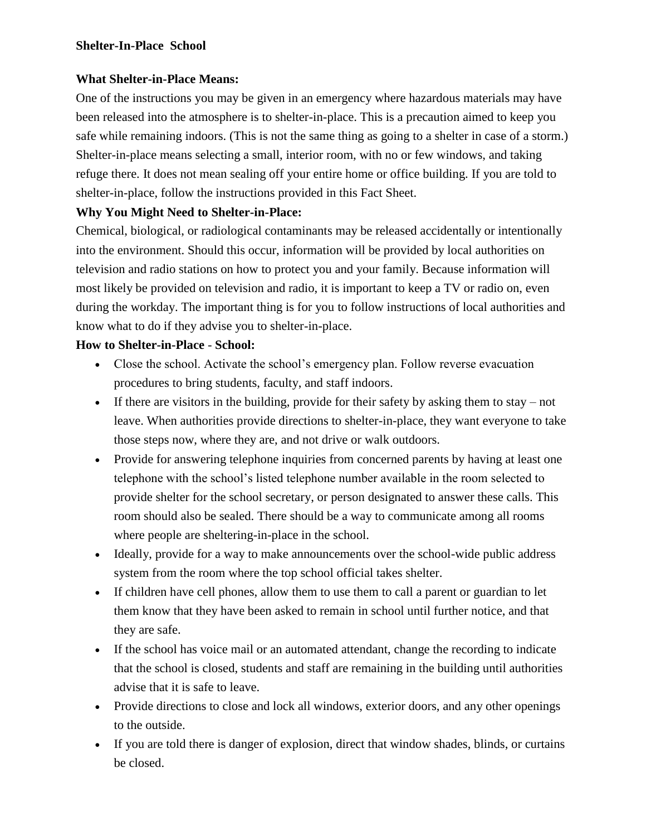## **Shelter-In-Place School**

## **What Shelter-in-Place Means:**

One of the instructions you may be given in an emergency where hazardous materials may have been released into the atmosphere is to shelter-in-place. This is a precaution aimed to keep you safe while remaining indoors. (This is not the same thing as going to a shelter in case of a storm.) Shelter-in-place means selecting a small, interior room, with no or few windows, and taking refuge there. It does not mean sealing off your entire home or office building. If you are told to shelter-in-place, follow the instructions provided in this Fact Sheet.

## **Why You Might Need to Shelter-in-Place:**

Chemical, biological, or radiological contaminants may be released accidentally or intentionally into the environment. Should this occur, information will be provided by local authorities on television and radio stations on how to protect you and your family. Because information will most likely be provided on television and radio, it is important to keep a TV or radio on, even during the workday. The important thing is for you to follow instructions of local authorities and know what to do if they advise you to shelter-in-place.

## **How to Shelter-in-Place** - **School:**

- Close the school. Activate the school's emergency plan. Follow reverse evacuation procedures to bring students, faculty, and staff indoors.
- If there are visitors in the building, provide for their safety by asking them to stay not leave. When authorities provide directions to shelter-in-place, they want everyone to take those steps now, where they are, and not drive or walk outdoors.
- Provide for answering telephone inquiries from concerned parents by having at least one telephone with the school's listed telephone number available in the room selected to provide shelter for the school secretary, or person designated to answer these calls. This room should also be sealed. There should be a way to communicate among all rooms where people are sheltering-in-place in the school.
- Ideally, provide for a way to make announcements over the school-wide public address system from the room where the top school official takes shelter.
- If children have cell phones, allow them to use them to call a parent or guardian to let them know that they have been asked to remain in school until further notice, and that they are safe.
- If the school has voice mail or an automated attendant, change the recording to indicate that the school is closed, students and staff are remaining in the building until authorities advise that it is safe to leave.
- Provide directions to close and lock all windows, exterior doors, and any other openings to the outside.
- If you are told there is danger of explosion, direct that window shades, blinds, or curtains be closed.